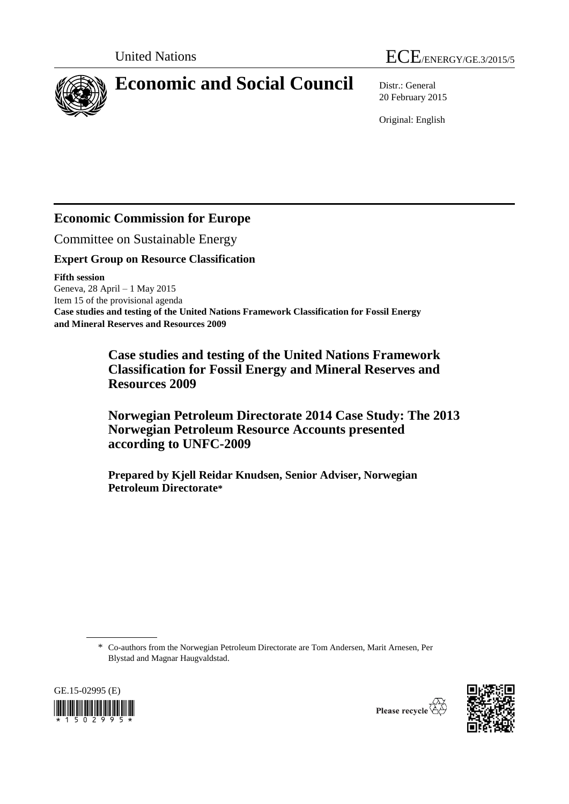



# **Economic and Social Council** Distr.: General

20 February 2015

Original: English

# **Economic Commission for Europe**

Committee on Sustainable Energy

### **Expert Group on Resource Classification**

### **Fifth session**

Geneva, 28 April – 1 May 2015 Item 15 of the provisional agenda **Case studies and testing of the United Nations Framework Classification for Fossil Energy and Mineral Reserves and Resources 2009**

> **Case studies and testing of the United Nations Framework Classification for Fossil Energy and Mineral Reserves and Resources 2009**

**Norwegian Petroleum Directorate 2014 Case Study: The 2013 Norwegian Petroleum Resource Accounts presented according to UNFC-2009**

**Prepared by Kjell Reidar Knudsen, Senior Adviser, Norwegian Petroleum Directorate\***

\* Co-authors from the Norwegian Petroleum Directorate are Tom Andersen, Marit Arnesen, Per Blystad and Magnar Haugvaldstad.



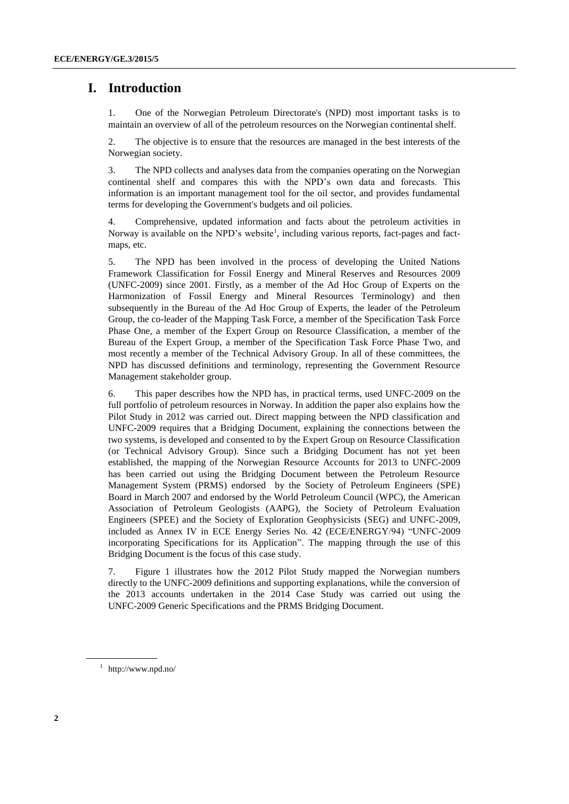# **I. Introduction**

1. One of the Norwegian Petroleum Directorate's (NPD) most important tasks is to maintain an overview of all of the petroleum resources on the Norwegian continental shelf.

2. The objective is to ensure that the resources are managed in the best interests of the Norwegian society.

3. The NPD collects and analyses data from the companies operating on the Norwegian continental shelf and compares this with the NPD's own data and forecasts. This information is an important management tool for the oil sector, and provides fundamental terms for developing the Government's budgets and oil policies.

4. Comprehensive, updated information and facts about the petroleum activities in Norway is available on the NPD's website<sup>1</sup>, including various reports, fact-pages and factmaps, etc.

5. The NPD has been involved in the process of developing the United Nations Framework Classification for Fossil Energy and Mineral Reserves and Resources 2009 (UNFC-2009) since 2001. Firstly, as a member of the Ad Hoc Group of Experts on the Harmonization of Fossil Energy and Mineral Resources Terminology) and then subsequently in the Bureau of the Ad Hoc Group of Experts, the leader of the Petroleum Group, the co-leader of the Mapping Task Force, a member of the Specification Task Force Phase One, a member of the Expert Group on Resource Classification, a member of the Bureau of the Expert Group, a member of the Specification Task Force Phase Two, and most recently a member of the Technical Advisory Group. In all of these committees, the NPD has discussed definitions and terminology, representing the Government Resource Management stakeholder group.

6. This paper describes how the NPD has, in practical terms, used UNFC-2009 on the full portfolio of petroleum resources in Norway. In addition the paper also explains how the Pilot Study in 2012 was carried out. Direct mapping between the NPD classification and UNFC-2009 requires that a Bridging Document, explaining the connections between the two systems, is developed and consented to by the Expert Group on Resource Classification (or Technical Advisory Group). Since such a Bridging Document has not yet been established, the mapping of the Norwegian Resource Accounts for 2013 to UNFC-2009 has been carried out using the Bridging Document between the Petroleum Resource Management System (PRMS) endorsed by the Society of Petroleum Engineers (SPE) Board in March 2007 and endorsed by the World Petroleum Council (WPC), the American Association of Petroleum Geologists (AAPG), the Society of Petroleum Evaluation Engineers (SPEE) and the Society of Exploration Geophysicists (SEG) and UNFC-2009, included as Annex IV in ECE Energy Series No. 42 (ECE/ENERGY/94) "UNFC-2009 incorporating Specifications for its Application". The mapping through the use of this Bridging Document is the focus of this case study.

7. Figure 1 illustrates how the 2012 Pilot Study mapped the Norwegian numbers directly to the UNFC-2009 definitions and supporting explanations, while the conversion of the 2013 accounts undertaken in the 2014 Case Study was carried out using the UNFC-2009 Generic Specifications and the PRMS Bridging Document.

<sup>1</sup> http://www.npd.no/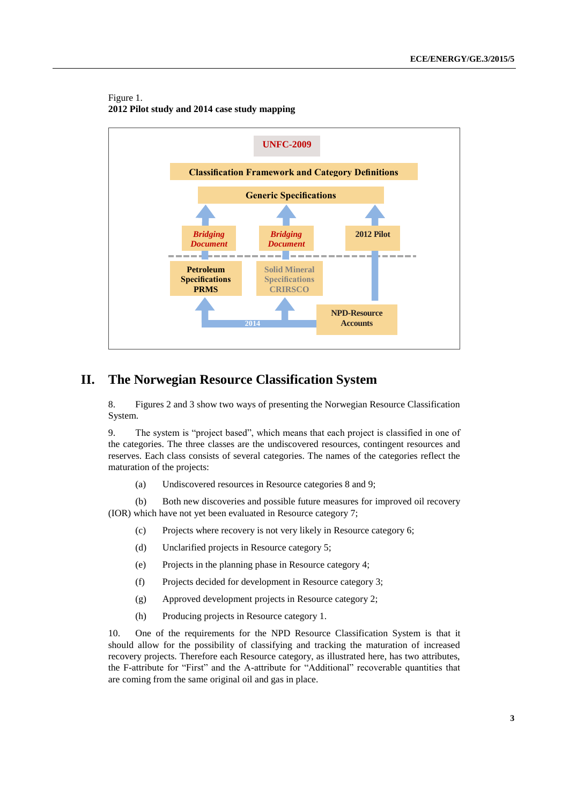#### Figure 1. **2012 Pilot study and 2014 case study mapping**



# **II. The Norwegian Resource Classification System**

8. Figures 2 and 3 show two ways of presenting the Norwegian Resource Classification System.

9. The system is "project based", which means that each project is classified in one of the categories. The three classes are the undiscovered resources, contingent resources and reserves. Each class consists of several categories. The names of the categories reflect the maturation of the projects:

(a) Undiscovered resources in Resource categories 8 and 9;

(b) Both new discoveries and possible future measures for improved oil recovery (IOR) which have not yet been evaluated in Resource category 7;

- (c) Projects where recovery is not very likely in Resource category 6;
- (d) Unclarified projects in Resource category 5;
- (e) Projects in the planning phase in Resource category 4;
- (f) Projects decided for development in Resource category 3;
- (g) Approved development projects in Resource category 2;
- (h) Producing projects in Resource category 1.

10. One of the requirements for the NPD Resource Classification System is that it should allow for the possibility of classifying and tracking the maturation of increased recovery projects. Therefore each Resource category, as illustrated here, has two attributes, the F-attribute for "First" and the A-attribute for "Additional" recoverable quantities that are coming from the same original oil and gas in place.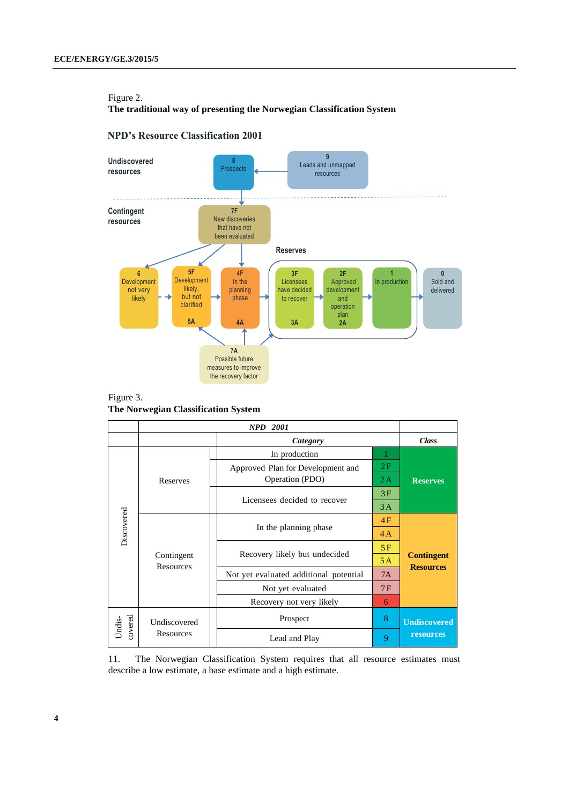#### Figure 2.

**The traditional way of presenting the Norwegian Classification System**

### **NPD's Resource Classification 2001**



Figure 3. **The Norwegian Classification System**

|                   |                         | <b>NPD</b><br><b>2001</b>              |    |                                       |
|-------------------|-------------------------|----------------------------------------|----|---------------------------------------|
|                   |                         | <b>Class</b>                           |    |                                       |
|                   |                         | In production                          | 1  |                                       |
|                   |                         | Approved Plan for Development and      | 2F |                                       |
|                   | Reserves                | Operation (PDO)                        | 2A | <b>Reserves</b>                       |
|                   |                         | Licensees decided to recover           | 3F |                                       |
|                   |                         |                                        | 3A |                                       |
| Discovered        |                         |                                        | 4F |                                       |
|                   |                         | In the planning phase                  | 4A |                                       |
|                   |                         |                                        | 5F |                                       |
|                   | Contingent<br>Resources | Recovery likely but undecided          | 5A | <b>Contingent</b><br><b>Resources</b> |
|                   |                         | Not yet evaluated additional potential | 7A |                                       |
|                   |                         | Not yet evaluated                      | 7F |                                       |
|                   |                         | Recovery not very likely               | 6  |                                       |
| covered<br>Undis- | Undiscovered            | Prospect                               | 8  | <b>Undiscovered</b>                   |
|                   | Resources               | Lead and Play                          | 9  | resources                             |

11. The Norwegian Classification System requires that all resource estimates must describe a low estimate, a base estimate and a high estimate.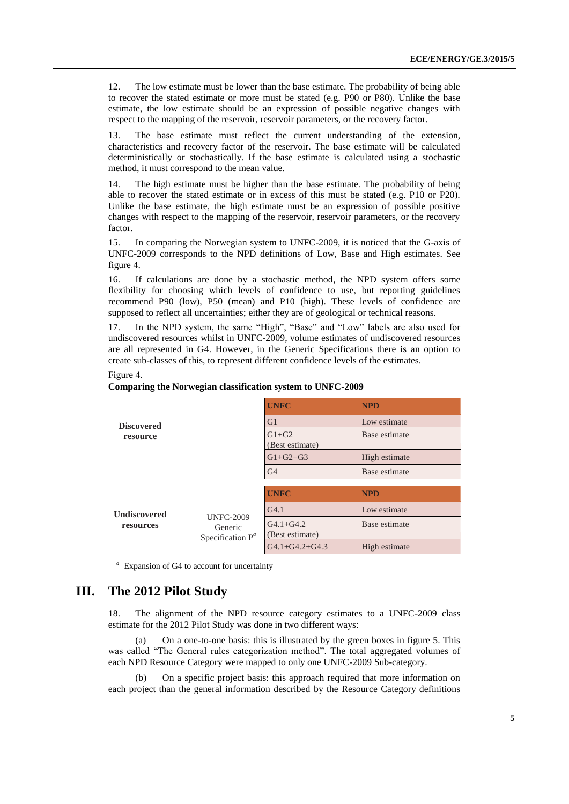12. The low estimate must be lower than the base estimate. The probability of being able to recover the stated estimate or more must be stated (e.g. P90 or P80). Unlike the base estimate, the low estimate should be an expression of possible negative changes with respect to the mapping of the reservoir, reservoir parameters, or the recovery factor.

13. The base estimate must reflect the current understanding of the extension, characteristics and recovery factor of the reservoir. The base estimate will be calculated deterministically or stochastically. If the base estimate is calculated using a stochastic method, it must correspond to the mean value.

14. The high estimate must be higher than the base estimate. The probability of being able to recover the stated estimate or in excess of this must be stated (e.g. P10 or P20). Unlike the base estimate, the high estimate must be an expression of possible positive changes with respect to the mapping of the reservoir, reservoir parameters, or the recovery factor.

15. In comparing the Norwegian system to UNFC-2009, it is noticed that the G-axis of UNFC-2009 corresponds to the NPD definitions of Low, Base and High estimates. See figure 4.

16. If calculations are done by a stochastic method, the NPD system offers some flexibility for choosing which levels of confidence to use, but reporting guidelines recommend P90 (low), P50 (mean) and P10 (high). These levels of confidence are supposed to reflect all uncertainties; either they are of geological or technical reasons.

17. In the NPD system, the same "High", "Base" and "Low" labels are also used for undiscovered resources whilst in UNFC-2009, volume estimates of undiscovered resources are all represented in G4. However, in the Generic Specifications there is an option to create sub-classes of this, to represent different confidence levels of the estimates.

#### Figure 4.

#### **Comparing the Norwegian classification system to UNFC-2009**

|                     |                                                    | <b>UNFC</b>                      | <b>NPD</b>    |
|---------------------|----------------------------------------------------|----------------------------------|---------------|
| <b>Discovered</b>   |                                                    | G <sub>1</sub>                   | Low estimate  |
| resource            |                                                    | $G1+G2$<br>(Best estimate)       | Base estimate |
|                     |                                                    | $G1 + G2 + G3$                   | High estimate |
|                     |                                                    | G <sub>4</sub>                   | Base estimate |
|                     |                                                    |                                  |               |
|                     |                                                    | <b>UNFC</b>                      | <b>NPD</b>    |
| <b>Undiscovered</b> |                                                    | G <sub>4.1</sub>                 | Low estimate  |
| resources           | <b>UNFC-2009</b><br>Generic<br>Specification $P^a$ | $G4.1 + G4.2$<br>(Best estimate) | Base estimate |
|                     |                                                    | $G4.1+G4.2+G4.3$                 | High estimate |

*a* Expansion of G4 to account for uncertainty

# **III. The 2012 Pilot Study**

18. The alignment of the NPD resource category estimates to a UNFC-2009 class estimate for the 2012 Pilot Study was done in two different ways:

(a) On a one-to-one basis: this is illustrated by the green boxes in figure 5. This was called "The General rules categorization method". The total aggregated volumes of each NPD Resource Category were mapped to only one UNFC-2009 Sub-category.

(b) On a specific project basis: this approach required that more information on each project than the general information described by the Resource Category definitions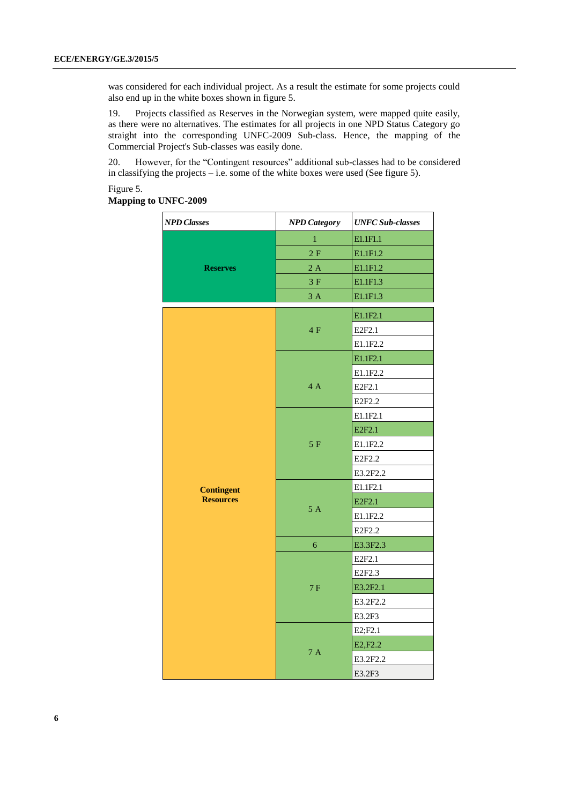was considered for each individual project. As a result the estimate for some projects could also end up in the white boxes shown in figure 5.

19. Projects classified as Reserves in the Norwegian system, were mapped quite easily, as there were no alternatives. The estimates for all projects in one NPD Status Category go straight into the corresponding UNFC-2009 Sub-class. Hence, the mapping of the Commercial Project's Sub-classes was easily done.

20. However, for the "Contingent resources" additional sub-classes had to be considered in classifying the projects – i.e. some of the white boxes were used (See figure 5).

#### Figure 5.

#### **Mapping to UNFC-2009**

| <b>NPD Classes</b> | <b>NPD</b> Category | <b>UNFC Sub-classes</b> |
|--------------------|---------------------|-------------------------|
|                    | $\mathbf{1}$        | E1.1F1.1                |
|                    | 2F                  | E1.1F1.2                |
| <b>Reserves</b>    | 2A                  | E1.1F1.2                |
|                    | 3F                  | E1.1F1.3                |
|                    | $3A$                | E1.1F1.3                |
|                    |                     | E1.1F2.1                |
|                    | 4F                  | E2F2.1                  |
|                    |                     | E1.1F2.2                |
|                    |                     | E1.1F2.1                |
|                    |                     | E1.1F2.2                |
|                    | 4 A                 | E2F2.1                  |
|                    |                     | E2F2.2                  |
|                    |                     | E1.1F2.1                |
|                    |                     | E2F2.1                  |
|                    | 5F                  | E1.1F2.2                |
|                    |                     | E2F2.2                  |
|                    |                     | E3.2F2.2                |
| <b>Contingent</b>  |                     | E1.1F2.1                |
| <b>Resources</b>   |                     | E2F2.1                  |
|                    | 5A                  | E1.1F2.2                |
|                    |                     | E2F2.2                  |
|                    | 6                   | E3.3F2.3                |
|                    |                     | E2F2.1                  |
|                    |                     | E2F2.3                  |
|                    | 7F                  | E3.2F2.1                |
|                    |                     | E3.2F2.2                |
|                    |                     | E3.2F3                  |
|                    |                     | E2; F2.1                |
|                    |                     | E2, F2.2                |
|                    | 7A                  | E3.2F2.2                |
|                    |                     | E3.2F3                  |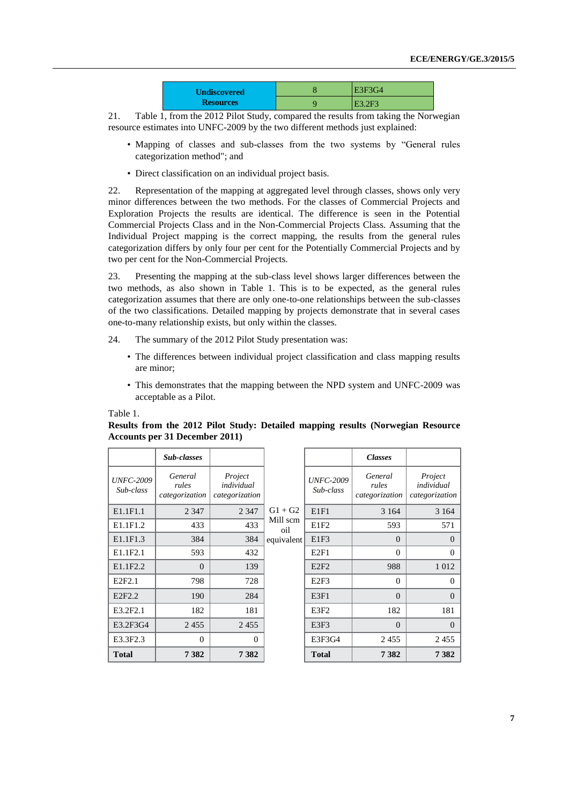| <b>Undiscovered</b> | E3F3G4 |
|---------------------|--------|
| <b>Resources</b>    | E3.2F3 |

21. Table 1, from the 2012 Pilot Study, compared the results from taking the Norwegian resource estimates into UNFC-2009 by the two different methods just explained:

- Mapping of classes and sub-classes from the two systems by "General rules categorization method"; and
- Direct classification on an individual project basis.

22. Representation of the mapping at aggregated level through classes, shows only very minor differences between the two methods. For the classes of Commercial Projects and Exploration Projects the results are identical. The difference is seen in the Potential Commercial Projects Class and in the Non-Commercial Projects Class. Assuming that the Individual Project mapping is the correct mapping, the results from the general rules categorization differs by only four per cent for the Potentially Commercial Projects and by two per cent for the Non-Commercial Projects.

23. Presenting the mapping at the sub-class level shows larger differences between the two methods, as also shown in Table 1. This is to be expected, as the general rules categorization assumes that there are only one-to-one relationships between the sub-classes of the two classifications. Detailed mapping by projects demonstrate that in several cases one-to-many relationship exists, but only within the classes.

- 24. The summary of the 2012 Pilot Study presentation was:
	- The differences between individual project classification and class mapping results are minor;
	- This demonstrates that the mapping between the NPD system and UNFC-2009 was acceptable as a Pilot.

Table 1.

|                               | Sub-classes                        |                                         |                 |                               | <b>Classes</b>                     |                                         |
|-------------------------------|------------------------------------|-----------------------------------------|-----------------|-------------------------------|------------------------------------|-----------------------------------------|
| <b>UNFC-2009</b><br>Sub-class | General<br>rules<br>categorization | Project<br>individual<br>categorization |                 | <b>UNFC-2009</b><br>Sub-class | General<br>rules<br>categorization | Project<br>individual<br>categorization |
| E1.1F1.1                      | 2 3 4 7                            | 2 3 4 7                                 | $G1 + G2$       | E1F1                          | 3 1 6 4                            | 3 1 6 4                                 |
| E1.1F1.2                      | 433                                | 433                                     | Mill scm<br>oil | E1F <sub>2</sub>              | 593                                | 571                                     |
| E1.1F1.3                      | 384                                | 384                                     | equivalent      | E1F3                          | $\Omega$                           | $\Omega$                                |
| E <sub>1.1F2.1</sub>          | 593                                | 432                                     |                 | E2F1                          | $\Omega$                           | $\Omega$                                |
| E1.1F2.2                      | $\Omega$                           | 139                                     |                 | E2F2                          | 988                                | 1 0 1 2                                 |
| E2F2.1                        | 798                                | 728                                     |                 | E2F3                          | $\Omega$                           | $\Omega$                                |
| E <sub>2F<sub>2.2</sub></sub> | 190                                | 284                                     |                 | E3F1                          | $\Omega$                           | $\Omega$                                |
| E3.2F2.1                      | 182                                | 181                                     |                 | E3F2                          | 182                                | 181                                     |
| E3.2F3G4                      | 2455                               | 2455                                    |                 | E3F3                          | $\Omega$                           | $\Omega$                                |
| E3.3F2.3                      | $\Omega$                           | $\theta$                                |                 | E3F3G4                        | 2455                               | 2455                                    |
| <b>Total</b>                  | 7382                               | 7382                                    |                 | <b>Total</b>                  | 7382                               | 7382                                    |

### **Results from the 2012 Pilot Study: Detailed mapping results (Norwegian Resource Accounts per 31 December 2011)**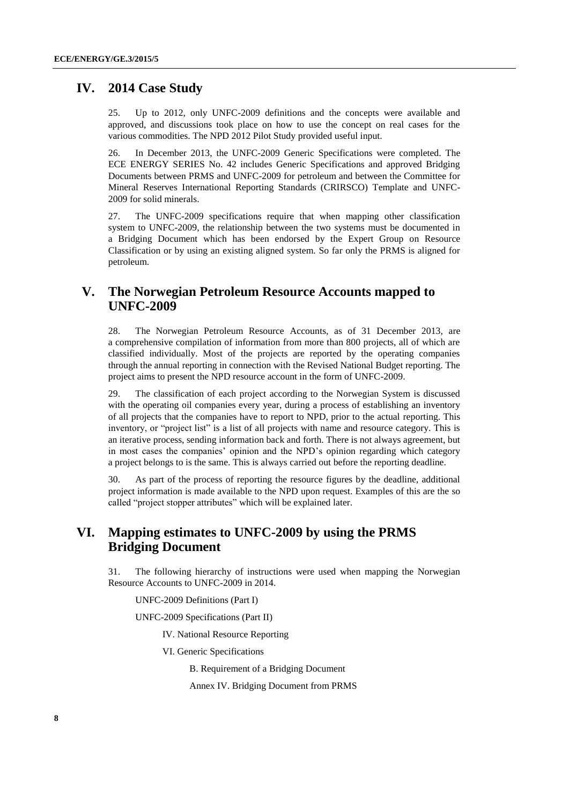### **IV. 2014 Case Study**

25. Up to 2012, only UNFC-2009 definitions and the concepts were available and approved, and discussions took place on how to use the concept on real cases for the various commodities. The NPD 2012 Pilot Study provided useful input.

26. In December 2013, the UNFC-2009 Generic Specifications were completed. The ECE ENERGY SERIES No. 42 includes Generic Specifications and approved Bridging Documents between PRMS and UNFC-2009 for petroleum and between the Committee for Mineral Reserves International Reporting Standards (CRIRSCO) Template and UNFC-2009 for solid minerals.

27. The UNFC-2009 specifications require that when mapping other classification system to UNFC-2009, the relationship between the two systems must be documented in a Bridging Document which has been endorsed by the Expert Group on Resource Classification or by using an existing aligned system. So far only the PRMS is aligned for petroleum.

### **V. The Norwegian Petroleum Resource Accounts mapped to UNFC-2009**

28. The Norwegian Petroleum Resource Accounts, as of 31 December 2013, are a comprehensive compilation of information from more than 800 projects, all of which are classified individually. Most of the projects are reported by the operating companies through the annual reporting in connection with the Revised National Budget reporting. The project aims to present the NPD resource account in the form of UNFC-2009.

29. The classification of each project according to the Norwegian System is discussed with the operating oil companies every year, during a process of establishing an inventory of all projects that the companies have to report to NPD, prior to the actual reporting. This inventory, or "project list" is a list of all projects with name and resource category. This is an iterative process, sending information back and forth. There is not always agreement, but in most cases the companies' opinion and the NPD's opinion regarding which category a project belongs to is the same. This is always carried out before the reporting deadline.

30. As part of the process of reporting the resource figures by the deadline, additional project information is made available to the NPD upon request. Examples of this are the so called "project stopper attributes" which will be explained later.

# **VI. Mapping estimates to UNFC-2009 by using the PRMS Bridging Document**

31. The following hierarchy of instructions were used when mapping the Norwegian Resource Accounts to UNFC-2009 in 2014.

UNFC-2009 Definitions (Part I)

UNFC-2009 Specifications (Part II)

IV. National Resource Reporting

VI. Generic Specifications

B. Requirement of a Bridging Document

Annex IV. Bridging Document from PRMS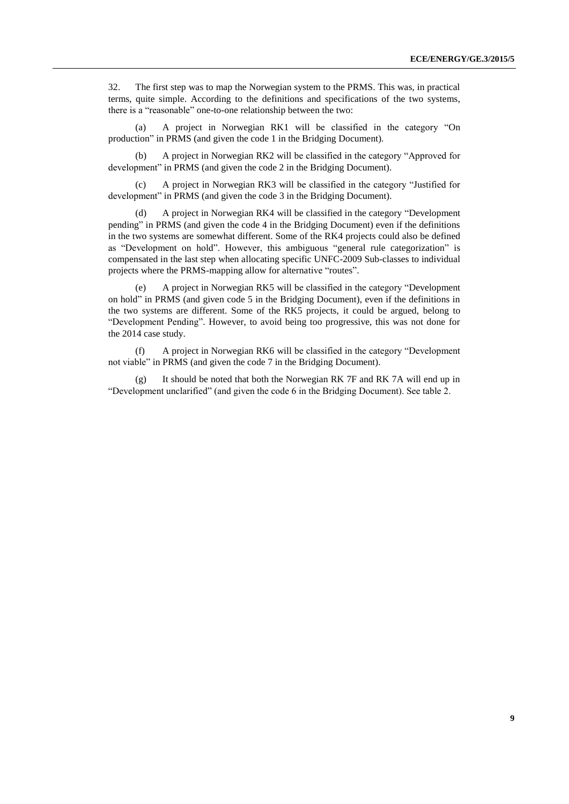32. The first step was to map the Norwegian system to the PRMS. This was, in practical terms, quite simple. According to the definitions and specifications of the two systems, there is a "reasonable" one-to-one relationship between the two:

(a) A project in Norwegian RK1 will be classified in the category "On production" in PRMS (and given the code 1 in the Bridging Document).

(b) A project in Norwegian RK2 will be classified in the category "Approved for development" in PRMS (and given the code 2 in the Bridging Document).

(c) A project in Norwegian RK3 will be classified in the category "Justified for development" in PRMS (and given the code 3 in the Bridging Document).

(d) A project in Norwegian RK4 will be classified in the category "Development pending" in PRMS (and given the code 4 in the Bridging Document) even if the definitions in the two systems are somewhat different. Some of the RK4 projects could also be defined as "Development on hold". However, this ambiguous "general rule categorization" is compensated in the last step when allocating specific UNFC-2009 Sub-classes to individual projects where the PRMS-mapping allow for alternative "routes".

(e) A project in Norwegian RK5 will be classified in the category "Development on hold" in PRMS (and given code 5 in the Bridging Document), even if the definitions in the two systems are different. Some of the RK5 projects, it could be argued, belong to "Development Pending". However, to avoid being too progressive, this was not done for the 2014 case study.

(f) A project in Norwegian RK6 will be classified in the category "Development not viable" in PRMS (and given the code 7 in the Bridging Document).

It should be noted that both the Norwegian RK 7F and RK 7A will end up in "Development unclarified" (and given the code 6 in the Bridging Document). See table 2.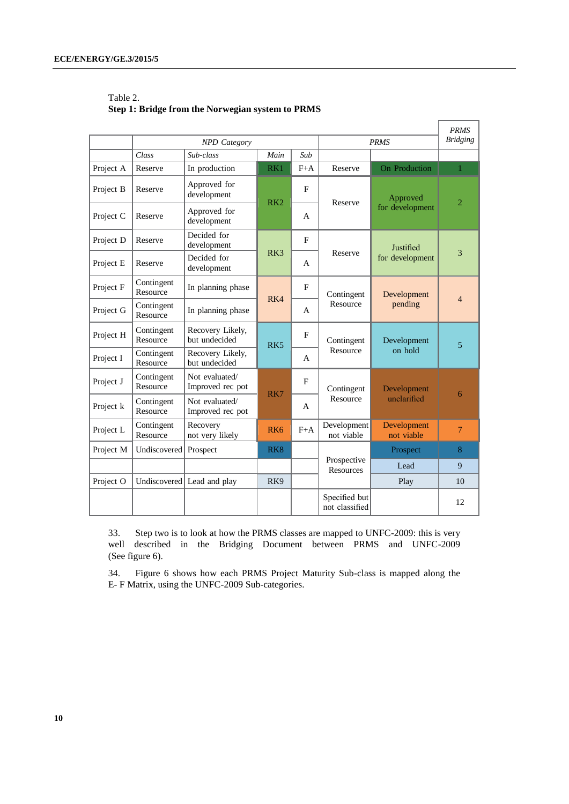|           |                        |                                    |                 |       | <b>PRMS</b><br><b>Bridging</b>  |                           |                |
|-----------|------------------------|------------------------------------|-----------------|-------|---------------------------------|---------------------------|----------------|
|           |                        | <b>NPD</b> Category                |                 |       |                                 | <b>PRMS</b>               |                |
|           | Class                  | Sub-class                          | Main            | Sub   |                                 |                           |                |
| Project A | Reserve                | In production                      | RK1             | $F+A$ | Reserve                         | On Production             | $\mathbf{1}$   |
| Project B | Reserve                | Approved for<br>development        | RK <sub>2</sub> | F     | Reserve                         | Approved                  | $\overline{2}$ |
| Project C | Reserve                | Approved for<br>development        | A               |       |                                 | for development           |                |
| Project D | Reserve                | Decided for<br>development         |                 | F     |                                 | Justified                 |                |
| Project E | Reserve                | Decided for<br>development         | R <sub>K3</sub> | A     | Reserve                         | for development           | 3              |
| Project F | Contingent<br>Resource | In planning phase                  | RK4             | F     | Contingent                      | Development               | 4              |
| Project G | Contingent<br>Resource | In planning phase                  |                 | A     | Resource                        | pending                   |                |
| Project H | Contingent<br>Resource | Recovery Likely,<br>but undecided  | R <sub>K5</sub> | F     | Contingent                      | Development               | 5              |
| Project I | Contingent<br>Resource | Recovery Likely,<br>but undecided  |                 | A     | Resource                        | on hold                   |                |
| Project J | Contingent<br>Resource | Not evaluated/<br>Improved rec pot |                 | F     | Contingent                      | Development               |                |
| Project k | Contingent<br>Resource | Not evaluated/<br>Improved rec pot | RK7             | A     | Resource                        | unclarified               | 6              |
| Project L | Contingent<br>Resource | Recovery<br>not very likely        | RK <sub>6</sub> | $F+A$ | Development<br>not viable       | Development<br>not viable | $\tau$         |
| Project M | Undiscovered           | Prospect                           | RK <sub>8</sub> |       |                                 | Prospect                  | 8              |
|           |                        |                                    |                 |       | Prospective<br>Resources        | Lead                      | 9              |
| Project O | Undiscovered           | Lead and play                      | RK9             |       |                                 | Play                      | 10             |
|           |                        |                                    |                 |       | Specified but<br>not classified |                           | 12             |

 $\Gamma$ 

 $\overline{\phantom{0}}$ 

### Table 2. **Step 1: Bridge from the Norwegian system to PRMS**

33. Step two is to look at how the PRMS classes are mapped to UNFC-2009: this is very well described in the Bridging Document between PRMS and UNFC-2009 (See figure 6).

34. Figure 6 shows how each PRMS Project Maturity Sub-class is mapped along the E- F Matrix, using the UNFC-2009 Sub-categories.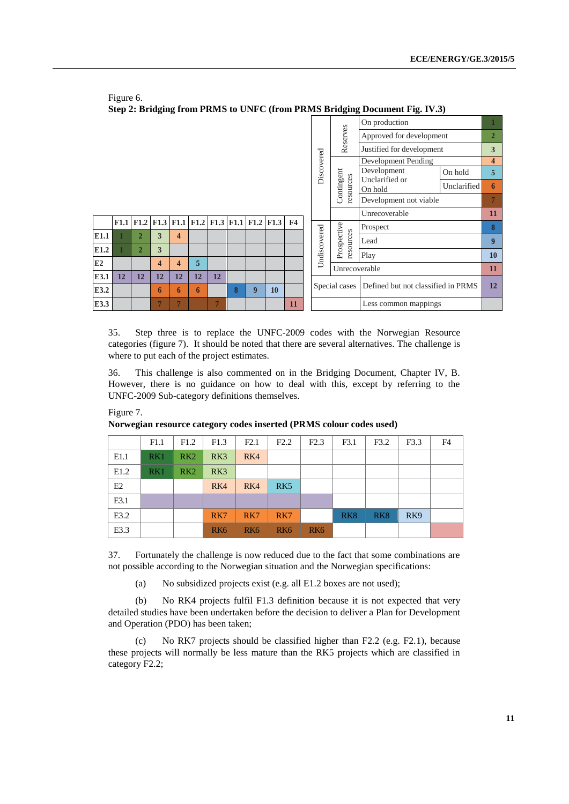|                                                            |      |                | ືອ                      | $\overline{\phantom{a}}$ |    |               |                                    |                      |                                    |                |              | 0<br>0                    |                           |             |                  |
|------------------------------------------------------------|------|----------------|-------------------------|--------------------------|----|---------------|------------------------------------|----------------------|------------------------------------|----------------|--------------|---------------------------|---------------------------|-------------|------------------|
|                                                            |      |                |                         |                          |    |               |                                    |                      |                                    |                |              |                           | On production             |             |                  |
|                                                            |      |                |                         |                          |    |               |                                    |                      |                                    |                | Reserves     | Approved for development  |                           | 2           |                  |
|                                                            |      |                |                         |                          |    |               |                                    |                      |                                    |                |              | Justified for development |                           | 3           |                  |
|                                                            |      |                |                         |                          |    |               |                                    |                      |                                    |                |              |                           | Development Pending       |             | 4                |
|                                                            |      |                |                         |                          |    |               |                                    |                      |                                    |                | Discovered   |                           | Development               | On hold     | 5                |
|                                                            |      |                |                         |                          |    |               |                                    |                      |                                    |                |              | Contingent<br>resources   | Unclarified or<br>On hold | Unclarified | 6                |
|                                                            |      |                |                         |                          |    |               |                                    |                      |                                    |                |              |                           | Development not viable    |             |                  |
|                                                            |      |                |                         |                          |    |               |                                    |                      |                                    |                |              |                           | Unrecoverable             |             | 11               |
|                                                            | F1.1 | F1.2           |                         |                          |    |               |                                    |                      | F1.3 F1.1 F1.2 F1.3 F1.1 F1.2 F1.3 | F <sub>4</sub> |              |                           | Prospect                  |             | 8                |
| E1.1                                                       |      | $\overline{2}$ | 3                       | $\overline{\mathbf{4}}$  |    |               |                                    |                      |                                    |                | Undiscovered | Prospective<br>resources  | Lead                      |             | $\boldsymbol{9}$ |
| E1.2                                                       |      | $\overline{2}$ | 3                       |                          |    |               |                                    |                      |                                    |                |              |                           |                           |             |                  |
|                                                            |      |                |                         |                          |    |               |                                    |                      |                                    |                |              |                           | Play                      |             | 10               |
| E2                                                         |      |                | $\overline{\mathbf{4}}$ | $\overline{\mathbf{4}}$  | 5  |               |                                    |                      |                                    |                |              | Unrecoverable             |                           |             | 11               |
| E3.1                                                       | 12   | 12             | 12                      | 12                       | 12 | 12            |                                    |                      |                                    |                |              |                           |                           |             |                  |
| E3.2<br>8<br>9<br>10<br>6<br>6<br>6                        |      |                |                         |                          |    | Special cases | Defined but not classified in PRMS |                      | 12                                 |                |              |                           |                           |             |                  |
| E3.3<br>$\overline{7}$<br>$\overline{7}$<br>$\overline{7}$ |      |                |                         |                          |    | 11            |                                    | Less common mappings |                                    |                |              |                           |                           |             |                  |

Figure 6. **Step 2: Bridging from PRMS to UNFC (from PRMS Bridging Document Fig. IV.3)**

35. Step three is to replace the UNFC-2009 codes with the Norwegian Resource categories (figure 7). It should be noted that there are several alternatives. The challenge is where to put each of the project estimates.

36. This challenge is also commented on in the Bridging Document, Chapter IV, B. However, there is no guidance on how to deal with this, except by referring to the UNFC-2009 Sub-category definitions themselves.

|      | F1.1 | F1.2 | F1.3            | F2.1            | F2.2            | F2.3            | F3.1            | F3.2            | F3.3            | F4 |
|------|------|------|-----------------|-----------------|-----------------|-----------------|-----------------|-----------------|-----------------|----|
| E1.1 | RK1  | RK2  | RK3             | RK4             |                 |                 |                 |                 |                 |    |
| E1.2 | RK1  | RK2  | RK3             |                 |                 |                 |                 |                 |                 |    |
| E2   |      |      | RK4             | RK4             | RK <sub>5</sub> |                 |                 |                 |                 |    |
| E3.1 |      |      |                 |                 |                 |                 |                 |                 |                 |    |
| E3.2 |      |      | RK7             | RK7             | RK7             |                 | RK <sub>8</sub> | RK <sub>8</sub> | RK <sub>9</sub> |    |
| E3.3 |      |      | RK <sub>6</sub> | RK <sub>6</sub> | RK <sub>6</sub> | RK <sub>6</sub> |                 |                 |                 |    |

Figure 7.

**Norwegian resource category codes inserted (PRMS colour codes used)**

37. Fortunately the challenge is now reduced due to the fact that some combinations are not possible according to the Norwegian situation and the Norwegian specifications:

(a) No subsidized projects exist (e.g. all E1.2 boxes are not used);

(b) No RK4 projects fulfil F1.3 definition because it is not expected that very detailed studies have been undertaken before the decision to deliver a Plan for Development and Operation (PDO) has been taken;

(c) No RK7 projects should be classified higher than F2.2 (e.g. F2.1), because these projects will normally be less mature than the RK5 projects which are classified in category F2.2;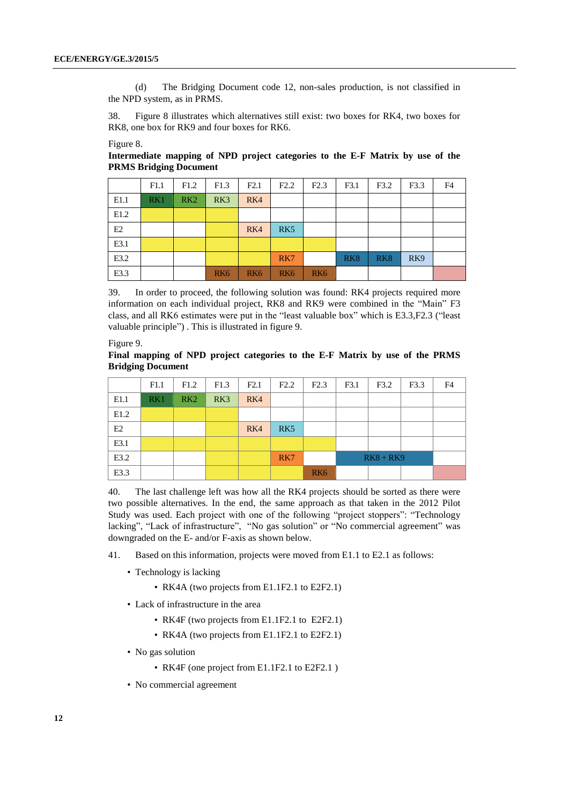(d) The Bridging Document code 12, non-sales production, is not classified in the NPD system, as in PRMS.

38. Figure 8 illustrates which alternatives still exist: two boxes for RK4, two boxes for RK8, one box for RK9 and four boxes for RK6.

#### Figure 8.

**Intermediate mapping of NPD project categories to the E-F Matrix by use of the PRMS Bridging Document**

|      | F1.1 | F1.2            | F1.3            | F2.1            | F2.2            | F2.3            | F3.1            | F3.2            | F3.3            | F4 |
|------|------|-----------------|-----------------|-----------------|-----------------|-----------------|-----------------|-----------------|-----------------|----|
| E1.1 | RK1  | RK <sub>2</sub> | RK3             | RK4             |                 |                 |                 |                 |                 |    |
| E1.2 |      |                 |                 |                 |                 |                 |                 |                 |                 |    |
| E2   |      |                 |                 | RK4             | RK <sub>5</sub> |                 |                 |                 |                 |    |
| E3.1 |      |                 |                 |                 |                 |                 |                 |                 |                 |    |
| E3.2 |      |                 |                 |                 | RK7             |                 | RK <sub>8</sub> | RK <sub>8</sub> | RK <sub>9</sub> |    |
| E3.3 |      |                 | RK <sub>6</sub> | RK <sub>6</sub> | RK <sub>6</sub> | RK <sub>6</sub> |                 |                 |                 |    |

39. In order to proceed, the following solution was found: RK4 projects required more information on each individual project, RK8 and RK9 were combined in the "Main" F3 class, and all RK6 estimates were put in the "least valuable box" which is E3.3,F2.3 ("least valuable principle") . This is illustrated in figure 9.

Figure 9.

**Final mapping of NPD project categories to the E-F Matrix by use of the PRMS Bridging Document**

|      | F1.1 | F1.2 | F1.3 | F2.1 | F2.2            | F2.3            | F3.1 | F3.2        | F3.3 | F4 |
|------|------|------|------|------|-----------------|-----------------|------|-------------|------|----|
| E1.1 | RK1  | RK2  | RK3  | RK4  |                 |                 |      |             |      |    |
| E1.2 |      |      |      |      |                 |                 |      |             |      |    |
| E2   |      |      |      | RK4  | RK <sub>5</sub> |                 |      |             |      |    |
| E3.1 |      |      |      |      |                 |                 |      |             |      |    |
| E3.2 |      |      |      |      | RK7             |                 |      | $RK8 + RK9$ |      |    |
| E3.3 |      |      |      |      |                 | RK <sub>6</sub> |      |             |      |    |

40. The last challenge left was how all the RK4 projects should be sorted as there were two possible alternatives. In the end, the same approach as that taken in the 2012 Pilot Study was used. Each project with one of the following "project stoppers": "Technology lacking", "Lack of infrastructure", "No gas solution" or "No commercial agreement" was downgraded on the E- and/or F-axis as shown below.

- 41. Based on this information, projects were moved from E1.1 to E2.1 as follows:
	- Technology is lacking
		- RK4A (two projects from E1.1F2.1 to E2F2.1)
	- Lack of infrastructure in the area
		- RK4F (two projects from E1.1F2.1 to E2F2.1)
		- RK4A (two projects from E1.1F2.1 to E2F2.1)
	- No gas solution
		- RK4F (one project from E1.1F2.1 to E2F2.1 )
	- No commercial agreement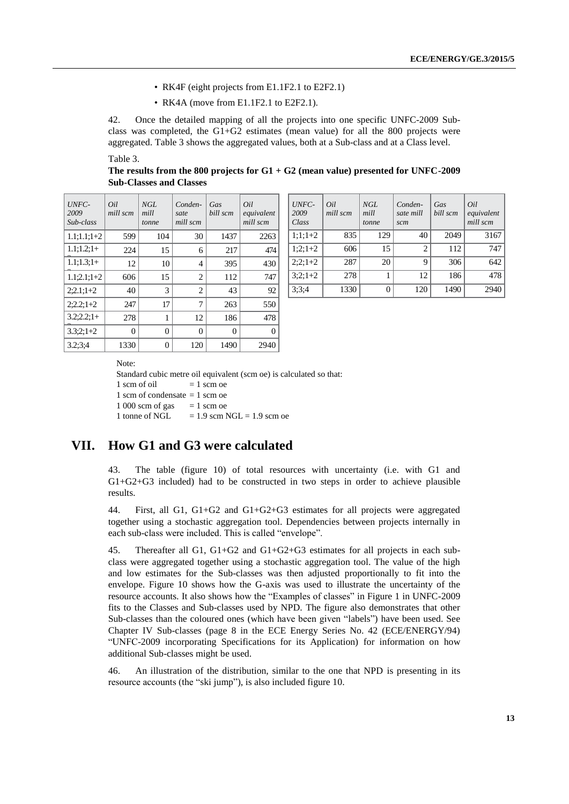- RK4F (eight projects from E1.1F2.1 to E2F2.1)
- RK4A (move from E1.1F2.1 to E2F2.1).

42. Once the detailed mapping of all the projects into one specific UNFC-2009 Subclass was completed, the  $G1+G2$  estimates (mean value) for all the 800 projects were aggregated. Table 3 shows the aggregated values, both at a Sub-class and at a Class level.

Table 3.

**The results from the 800 projects for G1 + G2 (mean value) presented for UNFC-2009 Sub-Classes and Classes**

| UNFC-<br>2009<br>Sub-class | Oil<br>mill scm | NGL<br>mill<br>tonne | Conden-<br>sate<br>mill scm | Gas<br>bill scm | Oil<br>equivalent<br>mill scm |
|----------------------------|-----------------|----------------------|-----------------------------|-----------------|-------------------------------|
| $1.1;1.1;1+2$              | 599             | 104                  | 30                          | 1437            | 2263                          |
| $1.1; 1.2; 1+$             | 224             | 15                   | 6                           | 217             | 474                           |
| $1.1:1.3:1+$               | 12              | 10                   | 4                           | 395             | 430                           |
| $1.1:2.1:1+2$              | 606             | 15                   | 2                           | 112             | 747                           |
| $2:2.1:1+2$                | 40              | 3                    | $\overline{c}$              | 43              | 92                            |
| $2:2.2:1+2$                | 247             | 17                   | 7                           | 263             | 550                           |
| $3.2:2.2:1+$               | 278             | 1                    | 12                          | 186             | 478                           |
| $3.3:2:1+2$                | 0               | 0                    | 0                           | 0               | 0                             |
| 3.2:3:4                    | 1330            | $\theta$             | 120                         | 1490            | 2940                          |

| UNFC-<br>2009<br>Sub-class | Oil<br>mill scm | NGL<br>mill<br>tonne | Conden-<br>sate<br>mill scm | Gas<br>bill scm | Oil<br>equivalent<br>mill scm | UNFC-<br>2009<br>Class | Oil<br>mill scm | <b>NGL</b><br>mill<br>tonne | Conden-<br>sate mill<br>scm | Gas<br>bill scm | Oil<br>equivalent<br>mill scm |
|----------------------------|-----------------|----------------------|-----------------------------|-----------------|-------------------------------|------------------------|-----------------|-----------------------------|-----------------------------|-----------------|-------------------------------|
| $1.1;1.1;1+2$              | 599             | 104                  | 30                          | 1437            | 2263                          | $1:1:1+2$              | 835             | 129                         | 40                          | 2049            | 3167                          |
| $1.1; 1.2; 1+$             | 224             | 15                   | 6                           | 217             | 474                           | $1:2:1+2$              | 606             | 15                          |                             | 112             | 747                           |
| $1.1; 1.3; 1+$             | 12              | 10                   | 4                           | 395             | 430                           | $2:2:1+2$              | 287             | 20                          |                             | 306             | 642                           |
| $1.1;2.1;1+2$              | 606             | 15                   | $\overline{c}$              | 112             | 747                           | $3:2:1+2$              | 278             |                             | 12                          | 186             | 478                           |
| $2:2.1:1+2$                | 40              | 3                    | 2                           | 43              | 92 <sub>1</sub>               | 3:3:4                  | 1330            |                             | 120                         | 1490            | 2940                          |

Note:

Standard cubic metre oil equivalent (scm oe) is calculated so that:  $1$  scm of oil  $= 1$  scm oe 1 scm of condensate  $= 1$  scm oe  $1\,000$  scm of gas  $= 1$  scm oe 1 tonne of NGL  $= 1.9$  scm NGL  $= 1.9$  scm oe

### **VII. How G1 and G3 were calculated**

43. The table (figure 10) of total resources with uncertainty (i.e. with G1 and G1+G2+G3 included) had to be constructed in two steps in order to achieve plausible results.

44. First, all G1, G1+G2 and G1+G2+G3 estimates for all projects were aggregated together using a stochastic aggregation tool. Dependencies between projects internally in each sub-class were included. This is called "envelope".

45. Thereafter all G1, G1+G2 and G1+G2+G3 estimates for all projects in each subclass were aggregated together using a stochastic aggregation tool. The value of the high and low estimates for the Sub-classes was then adjusted proportionally to fit into the envelope. Figure 10 shows how the G-axis was used to illustrate the uncertainty of the resource accounts. It also shows how the "Examples of classes" in Figure 1 in UNFC-2009 fits to the Classes and Sub-classes used by NPD. The figure also demonstrates that other Sub-classes than the coloured ones (which have been given "labels") have been used. See Chapter IV Sub-classes (page 8 in the ECE Energy Series No. 42 (ECE/ENERGY/94) "UNFC-2009 incorporating Specifications for its Application) for information on how additional Sub-classes might be used.

46. An illustration of the distribution, similar to the one that NPD is presenting in its resource accounts (the "ski jump"), is also included figure 10.